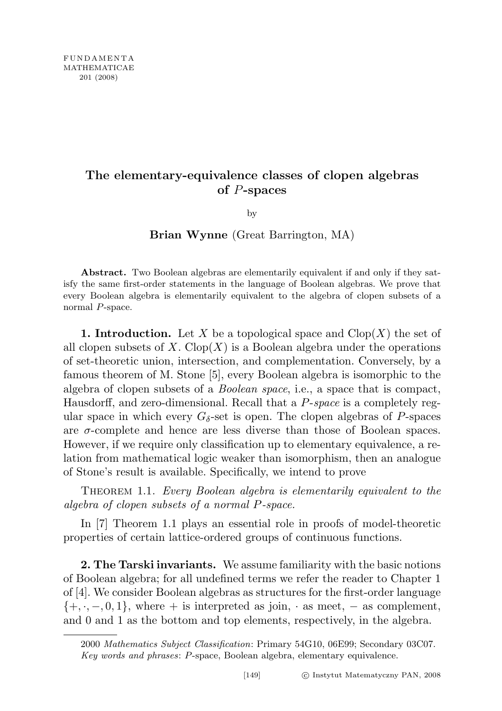## The elementary-equivalence classes of clopen algebras of P-spaces

by

## Brian Wynne (Great Barrington, MA)

Abstract. Two Boolean algebras are elementarily equivalent if and only if they satisfy the same first-order statements in the language of Boolean algebras. We prove that every Boolean algebra is elementarily equivalent to the algebra of clopen subsets of a normal P-space.

**1. Introduction.** Let X be a topological space and  $\text{Clop}(X)$  the set of all clopen subsets of X. Clop(X) is a Boolean algebra under the operations of set-theoretic union, intersection, and complementation. Conversely, by a famous theorem of M. Stone [5], every Boolean algebra is isomorphic to the algebra of clopen subsets of a Boolean space, i.e., a space that is compact, Hausdorff, and zero-dimensional. Recall that a P-space is a completely regular space in which every  $G_{\delta}$ -set is open. The clopen algebras of P-spaces are  $\sigma$ -complete and hence are less diverse than those of Boolean spaces. However, if we require only classification up to elementary equivalence, a relation from mathematical logic weaker than isomorphism, then an analogue of Stone's result is available. Specifically, we intend to prove

THEOREM 1.1. Every Boolean algebra is elementarily equivalent to the algebra of clopen subsets of a normal P-space.

In [7] Theorem 1.1 plays an essential role in proofs of model-theoretic properties of certain lattice-ordered groups of continuous functions.

2. The Tarski invariants. We assume familiarity with the basic notions of Boolean algebra; for all undefined terms we refer the reader to Chapter 1 of [4]. We consider Boolean algebras as structures for the first-order language  $\{+, \cdot, -, 0, 1\}$ , where + is interpreted as join,  $\cdot$  as meet,  $-$  as complement, and 0 and 1 as the bottom and top elements, respectively, in the algebra.

<sup>2000</sup> Mathematics Subject Classification: Primary 54G10, 06E99; Secondary 03C07. Key words and phrases: P-space, Boolean algebra, elementary equivalence.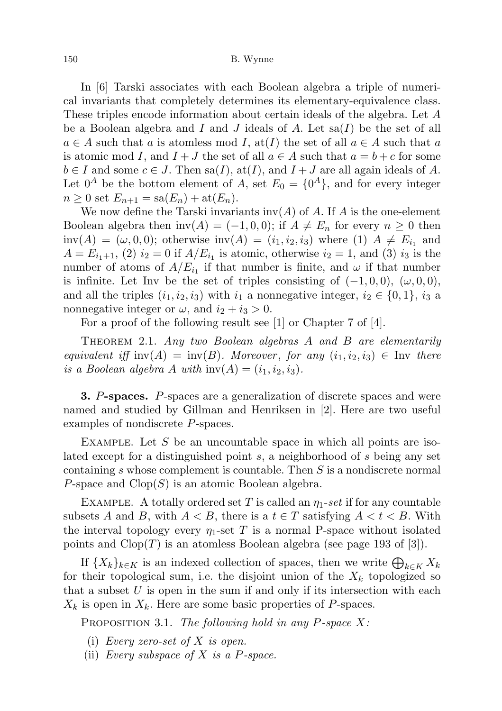150 B. Wynne

In [6] Tarski associates with each Boolean algebra a triple of numerical invariants that completely determines its elementary-equivalence class. These triples encode information about certain ideals of the algebra. Let A be a Boolean algebra and I and J ideals of A. Let  $sa(I)$  be the set of all  $a \in A$  such that a is atomless mod I, at I) the set of all  $a \in A$  such that a is atomic mod I, and  $I + J$  the set of all  $a \in A$  such that  $a = b + c$  for some  $b \in I$  and some  $c \in J$ . Then sa(I), at(I), and  $I + J$  are all again ideals of A. Let  $0^A$  be the bottom element of A, set  $E_0 = \{0^A\}$ , and for every integer  $n \geq 0$  set  $E_{n+1} = \text{sa}(E_n) + \text{at}(E_n)$ .

We now define the Tarski invariants  $inv(A)$  of A. If A is the one-element Boolean algebra then inv(A) = (-1,0,0); if  $A \neq E_n$  for every  $n \geq 0$  then  $inv(A) = (\omega, 0, 0)$ ; otherwise  $inv(A) = (i_1, i_2, i_3)$  where (1)  $A \neq E_{i_1}$  and  $A = E_{i_1+1}$ , (2)  $i_2 = 0$  if  $A/E_{i_1}$  is atomic, otherwise  $i_2 = 1$ , and (3)  $i_3$  is the number of atoms of  $A/E_{i_1}$  if that number is finite, and  $\omega$  if that number is infinite. Let Inv be the set of triples consisting of  $(-1, 0, 0)$ ,  $(\omega, 0, 0)$ , and all the triples  $(i_1, i_2, i_3)$  with  $i_1$  a nonnegative integer,  $i_2 \in \{0, 1\}$ ,  $i_3$  a nonnegative integer or  $\omega$ , and  $i_2 + i_3 > 0$ .

For a proof of the following result see [1] or Chapter 7 of [4].

THEOREM 2.1. Any two Boolean algebras A and B are elementarily equivalent iff inv(A) = inv(B). Moreover, for any  $(i_1, i_2, i_3) \in \text{Inv}$  there is a Boolean algebra A with  $\text{inv}(A) = (i_1, i_2, i_3)$ .

3. P-spaces. P-spaces are a generalization of discrete spaces and were named and studied by Gillman and Henriksen in [2]. Here are two useful examples of nondiscrete P-spaces.

EXAMPLE. Let  $S$  be an uncountable space in which all points are isolated except for a distinguished point s, a neighborhood of s being any set containing s whose complement is countable. Then S is a nondiscrete normal P-space and  $Clop(S)$  is an atomic Boolean algebra.

EXAMPLE. A totally ordered set T is called an  $\eta_1$ -set if for any countable subsets A and B, with  $A < B$ , there is a  $t \in T$  satisfying  $A < t < B$ . With the interval topology every  $\eta_1$ -set T is a normal P-space without isolated points and  $Clop(T)$  is an atomless Boolean algebra (see page 193 of [3]).

If  ${X_k}_{k \in K}$  is an indexed collection of spaces, then we write  $\bigoplus_{k \in K} X_k$ for their topological sum, i.e. the disjoint union of the  $X_k$  topologized so that a subset  $U$  is open in the sum if and only if its intersection with each  $X_k$  is open in  $X_k$ . Here are some basic properties of P-spaces.

PROPOSITION 3.1. The following hold in any P-space  $X$ :

- (i) Every zero-set of  $X$  is open.
- (ii) Every subspace of  $X$  is a P-space.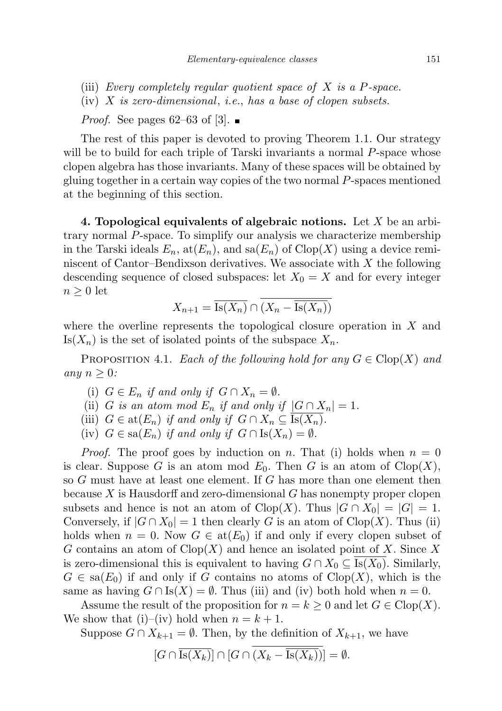- (iii) Every completely regular quotient space of  $X$  is a P-space.
- (iv)  $X$  is zero-dimensional, i.e., has a base of clopen subsets.

*Proof.* See pages 62–63 of [3].

The rest of this paper is devoted to proving Theorem 1.1. Our strategy will be to build for each triple of Tarski invariants a normal P-space whose clopen algebra has those invariants. Many of these spaces will be obtained by gluing together in a certain way copies of the two normal P-spaces mentioned at the beginning of this section.

4. Topological equivalents of algebraic notions. Let X be an arbitrary normal P-space. To simplify our analysis we characterize membership in the Tarski ideals  $E_n$ ,  $\text{at}(E_n)$ , and  $\text{sa}(E_n)$  of  $\text{Clop}(X)$  using a device reminiscent of Cantor–Bendixson derivatives. We associate with  $X$  the following descending sequence of closed subspaces: let  $X_0 = X$  and for every integer  $n \geq 0$  let

$$
X_{n+1} = \overline{\text{Is}(X_n)} \cap (X_n - \overline{\text{Is}(X_n)})
$$

where the overline represents the topological closure operation in  $X$  and  $\text{Is}(X_n)$  is the set of isolated points of the subspace  $X_n$ .

PROPOSITION 4.1. Each of the following hold for any  $G \in \text{Clop}(X)$  and any  $n \geq 0$ :

- (i)  $G \in E_n$  if and only if  $G \cap X_n = \emptyset$ .
- (ii) G is an atom mod  $E_n$  if and only if  $|G \cap X_n| = 1$ .
- (iii)  $G \in \text{at}(E_n)$  if and only if  $G \cap X_n \subseteq \text{Is}(X_n)$ .
- (iv)  $G \in \text{sa}(E_n)$  if and only if  $G \cap \text{Is}(X_n) = \emptyset$ .

*Proof.* The proof goes by induction on n. That (i) holds when  $n = 0$ is clear. Suppose G is an atom mod  $E_0$ . Then G is an atom of Clop $(X)$ , so G must have at least one element. If G has more than one element then because  $X$  is Hausdorff and zero-dimensional  $G$  has nonempty proper clopen subsets and hence is not an atom of  $Clop(X)$ . Thus  $|G \cap X_0| = |G| = 1$ . Conversely, if  $|G \cap X_0| = 1$  then clearly G is an atom of Clop(X). Thus (ii) holds when  $n = 0$ . Now  $G \in \text{at}(E_0)$  if and only if every clopen subset of G contains an atom of  $Clop(X)$  and hence an isolated point of X. Since X is zero-dimensional this is equivalent to having  $G \cap X_0 \subseteq Is(X_0)$ . Similarly,  $G \in \text{sa}(E_0)$  if and only if G contains no atoms of  $\text{Clop}(X)$ , which is the same as having  $G \cap \text{Is}(X) = \emptyset$ . Thus (iii) and (iv) both hold when  $n = 0$ .

Assume the result of the proposition for  $n = k \geq 0$  and let  $G \in \text{Clop}(X)$ . We show that (i)–(iv) hold when  $n = k + 1$ .

Suppose 
$$
G \cap X_{k+1} = \emptyset
$$
. Then, by the definition of  $X_{k+1}$ , we have

$$
[G \cap \overline{\text{Is}(X_k)}] \cap [G \cap (X_k - \overline{\text{Is}(X_k)})] = \emptyset.
$$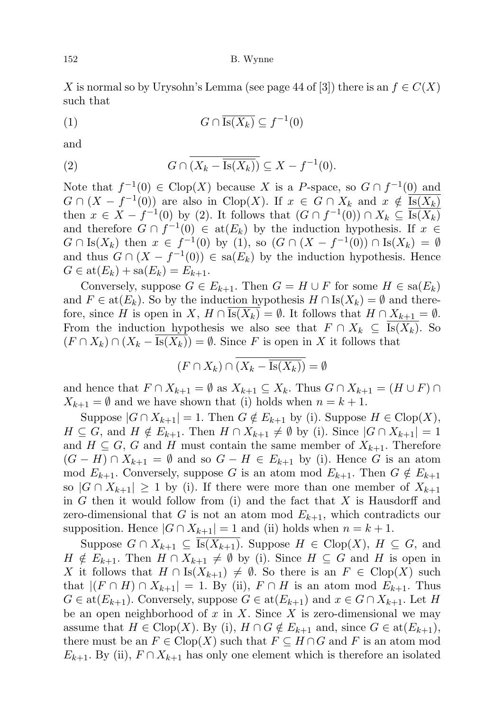152 B. Wynne

X is normal so by Urysohn's Lemma (see page 44 of [3]) there is an  $f \in C(X)$ such that

$$
(1) \tG \cap \overline{\text{Is}(X_k)} \subseteq f^{-1}(0)
$$

and

(2) 
$$
G \cap \overline{(X_k - \overline{\mathrm{Is}(X_k)})} \subseteq X - f^{-1}(0).
$$

Note that  $f^{-1}(0) \in \text{Clop}(X)$  because X is a P-space, so  $G \cap f^{-1}(0)$  and  $G \cap (X - f^{-1}(0))$  are also in Clop(X). If  $x \in G \cap X_k$  and  $x \notin \overline{\text{Is}(X_k)}$ then  $x \in X - f^{-1}(0)$  by (2). It follows that  $(G \cap f^{-1}(0)) \cap X_k \subseteq \overline{\text{Is}(X_k)}$ and therefore  $G \cap f^{-1}(0) \in \text{at}(E_k)$  by the induction hypothesis. If  $x \in$  $G \cap Is(X_k)$  then  $x \in f^{-1}(0)$  by (1), so  $(G \cap (X - f^{-1}(0)) \cap Is(X_k) = \emptyset$ and thus  $G \cap (X - f^{-1}(0)) \in \text{sa}(E_k)$  by the induction hypothesis. Hence  $G \in \text{at}(E_k) + \text{sa}(E_k) = E_{k+1}.$ 

Conversely, suppose  $G \in E_{k+1}$ . Then  $G = H \cup F$  for some  $H \in \text{sa}(E_k)$ and  $F \in \text{at}(E_k)$ . So by the induction hypothesis  $H \cap \text{Is}(X_k) = \emptyset$  and therefore, since H is open in X,  $H \cap Is(X_k) = \emptyset$ . It follows that  $H \cap X_{k+1} = \emptyset$ . From the induction hypothesis we also see that  $F \cap X_k \subseteq \text{Is}(X_k)$ . So  $(F \cap X_k) \cap (X_k - Is(X_k)) = \emptyset$ . Since F is open in X it follows that

$$
(F \cap X_k) \cap \overline{(X_k - \overline{\text{Is}(X_k)})} = \emptyset
$$

and hence that  $F \cap X_{k+1} = \emptyset$  as  $X_{k+1} \subseteq X_k$ . Thus  $G \cap X_{k+1} = (H \cup F) \cap$  $X_{k+1} = \emptyset$  and we have shown that (i) holds when  $n = k + 1$ .

Suppose  $|G \cap X_{k+1}| = 1$ . Then  $G \notin E_{k+1}$  by (i). Suppose  $H \in \text{Clop}(X)$ ,  $H \subseteq G$ , and  $H \notin E_{k+1}$ . Then  $H \cap X_{k+1} \neq \emptyset$  by (i). Since  $|G \cap X_{k+1}| = 1$ and  $H \subseteq G$ , G and H must contain the same member of  $X_{k+1}$ . Therefore  $(G - H) \cap X_{k+1} = \emptyset$  and so  $G - H \in E_{k+1}$  by (i). Hence G is an atom mod  $E_{k+1}$ . Conversely, suppose G is an atom mod  $E_{k+1}$ . Then  $G \notin E_{k+1}$ so  $|G \cap X_{k+1}| \geq 1$  by (i). If there were more than one member of  $X_{k+1}$ in  $G$  then it would follow from (i) and the fact that  $X$  is Hausdorff and zero-dimensional that G is not an atom mod  $E_{k+1}$ , which contradicts our supposition. Hence  $|G \cap X_{k+1}| = 1$  and (ii) holds when  $n = k + 1$ .

Suppose  $G \cap X_{k+1} \subseteq Is(X_{k+1})$ . Suppose  $H \in \text{Clop}(X)$ ,  $H \subseteq G$ , and  $H \notin E_{k+1}$ . Then  $H \cap X_{k+1} \neq \emptyset$  by (i). Since  $H \subseteq G$  and H is open in X it follows that  $H \cap \text{Is}(X_{k+1}) \neq \emptyset$ . So there is an  $F \in \text{Clop}(X)$  such that  $|(F \cap H) \cap X_{k+1}| = 1$ . By (ii),  $F \cap H$  is an atom mod  $E_{k+1}$ . Thus  $G \in \text{at}(E_{k+1})$ . Conversely, suppose  $G \in \text{at}(E_{k+1})$  and  $x \in G \cap X_{k+1}$ . Let H be an open neighborhood of  $x$  in  $X$ . Since  $X$  is zero-dimensional we may assume that  $H \in \text{Clop}(X)$ . By (i),  $H \cap G \notin E_{k+1}$  and, since  $G \in \text{at}(E_{k+1}),$ there must be an  $F \in \text{Clop}(X)$  such that  $F \subseteq H \cap G$  and F is an atom mod  $E_{k+1}$ . By (ii),  $F \cap X_{k+1}$  has only one element which is therefore an isolated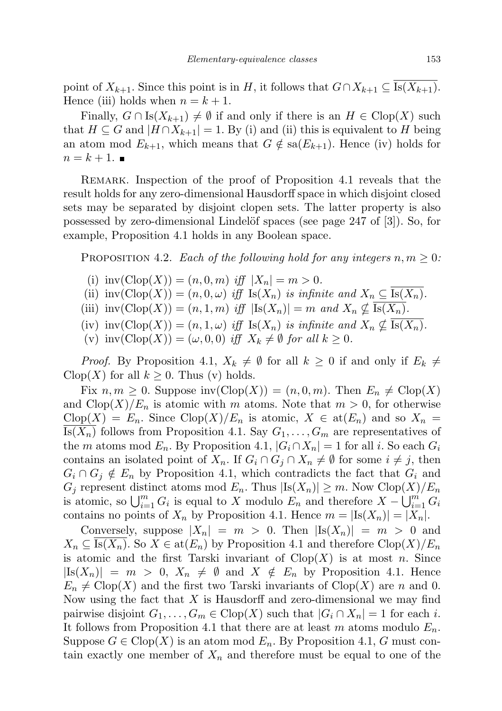point of  $X_{k+1}$ . Since this point is in H, it follows that  $G \cap X_{k+1} \subseteq \overline{Is(X_{k+1})}$ . Hence (iii) holds when  $n = k + 1$ .

Finally,  $G \cap \text{Is}(X_{k+1}) \neq \emptyset$  if and only if there is an  $H \in \text{Clop}(X)$  such that  $H \subseteq G$  and  $|H \cap X_{k+1}| = 1$ . By (i) and (ii) this is equivalent to H being an atom mod  $E_{k+1}$ , which means that  $G \notin \text{sa}(E_{k+1})$ . Hence (iv) holds for  $n = k + 1$ .

Remark. Inspection of the proof of Proposition 4.1 reveals that the result holds for any zero-dimensional Hausdorff space in which disjoint closed sets may be separated by disjoint clopen sets. The latter property is also possessed by zero-dimensional Lindelöf spaces (see page  $247$  of [3]). So, for example, Proposition 4.1 holds in any Boolean space.

PROPOSITION 4.2. Each of the following hold for any integers  $n, m \geq 0$ :

- (i)  $inv(\text{Clop}(X)) = (n, 0, m)$  iff  $|X_n| = m > 0$ .
- (ii)  $inv(Clop(X)) = (n, 0, \omega)$  iff  $Is(X_n)$  is infinite and  $X_n \subseteq \overline{Is(X_n)}$ .
- (iii)  $inv(\text{Clop}(X)) = (n, 1, m)$  iff  $|\text{Is}(X_n)| = m$  and  $X_n \nsubseteq \overline{\text{Is}(X_n)}$ .
- (iv) inv $(\text{Clop}(X)) = (n, 1, \omega)$  iff  $\text{Is}(X_n)$  is infinite and  $X_n \nsubseteq \text{Is}(X_n)$ .
- (v) inv $(\text{Clop}(X)) = (\omega, 0, 0)$  iff  $X_k \neq \emptyset$  for all  $k \geq 0$ .

*Proof.* By Proposition 4.1,  $X_k \neq \emptyset$  for all  $k \geq 0$  if and only if  $E_k \neq \emptyset$  $C\text{lop}(X)$  for all  $k \geq 0$ . Thus (v) holds.

Fix  $n, m \geq 0$ . Suppose inv $(\text{Clop}(X)) = (n, 0, m)$ . Then  $E_n \neq \text{Clop}(X)$ and  $\text{Clop}(X)/E_n$  is atomic with m atoms. Note that  $m > 0$ , for otherwise  $Clop(X) = E_n$ . Since  $Clop(X)/E_n$  is atomic,  $X \in \text{at}(E_n)$  and so  $X_n =$ Is( $X_n$ ) follows from Proposition 4.1. Say  $G_1, \ldots, G_m$  are representatives of the m atoms mod  $E_n$ . By Proposition 4.1,  $|G_i \cap X_n| = 1$  for all i. So each  $G_i$ contains an isolated point of  $X_n$ . If  $G_i \cap G_j \cap X_n \neq \emptyset$  for some  $i \neq j$ , then  $G_i \cap G_j \notin E_n$  by Proposition 4.1, which contradicts the fact that  $G_i$  and  $G_j$  represent distinct atoms mod  $E_n$ . Thus  $\left|\text{Is}(X_n)\right|\geq m$ . Now  $\text{Clop}(X)/E_n$ is atomic, so  $\bigcup_{i=1}^m G_i$  is equal to X modulo  $E_n$  and therefore  $X - \bigcup_{i=1}^m G_i$ contains no points of  $X_n$  by Proposition 4.1. Hence  $m = |Is(X_n)| = |X_n|$ .

Conversely, suppose  $|X_n| = m > 0$ . Then  $|S(X_n)| = m > 0$  and  $X_n \subseteq \text{Is}(X_n)$ . So  $X \in \text{at}(E_n)$  by Proposition 4.1 and therefore  $\text{Clop}(X)/E_n$ is atomic and the first Tarski invariant of  $Clop(X)$  is at most n. Since  $|Is(X_n)| = m > 0$ ,  $X_n \neq \emptyset$  and  $X \notin E_n$  by Proposition 4.1. Hence  $E_n \neq \text{Clop}(X)$  and the first two Tarski invariants of  $\text{Clop}(X)$  are n and 0. Now using the fact that  $X$  is Hausdorff and zero-dimensional we may find pairwise disjoint  $G_1, \ldots, G_m \in \text{Clop}(X)$  such that  $|G_i \cap X_n| = 1$  for each i. It follows from Proposition 4.1 that there are at least m atoms modulo  $E_n$ . Suppose  $G \in \text{Clop}(X)$  is an atom mod  $E_n$ . By Proposition 4.1, G must contain exactly one member of  $X_n$  and therefore must be equal to one of the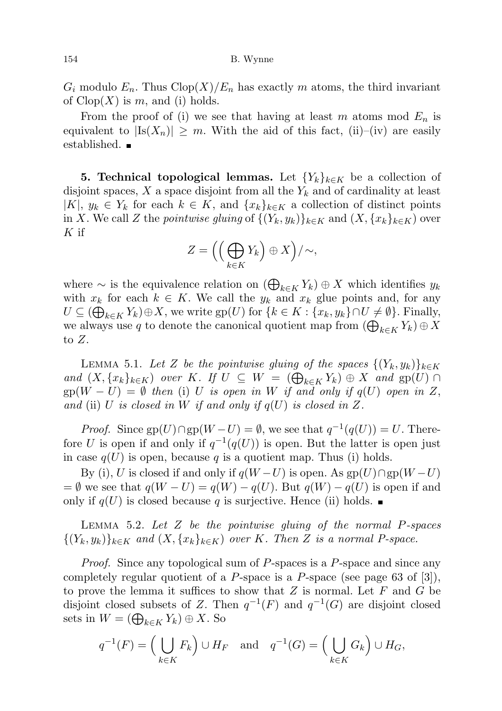$G_i$  modulo  $E_n$ . Thus  $\text{Clop}(X)/E_n$  has exactly m atoms, the third invariant of  $Clop(X)$  is m, and (i) holds.

From the proof of (i) we see that having at least m atoms mod  $E_n$  is equivalent to  $|Is(X_n)| \geq m$ . With the aid of this fact, (ii)–(iv) are easily established.

**5. Technical topological lemmas.** Let  ${Y_k}_{k \in K}$  be a collection of disjoint spaces,  $X$  a space disjoint from all the  $Y_k$  and of cardinality at least |K|,  $y_k \in Y_k$  for each  $k \in K$ , and  $\{x_k\}_{k \in K}$  a collection of distinct points in X. We call Z the pointwise gluing of  $\{(Y_k, y_k)\}_{k\in K}$  and  $(X, \{x_k\}_{k\in K})$  over  $K$  if

$$
Z = \left( \left( \bigoplus_{k \in K} Y_k \right) \oplus X \right) / \sim,
$$

where  $\sim$  is the equivalence relation on  $(\bigoplus_{k \in K} Y_k) \oplus X$  which identifies  $y_k$ with  $x_k$  for each  $k \in K$ . We call the  $y_k$  and  $x_k$  glue points and, for any  $U \subseteq (\bigoplus_{k \in K} Y_k) \oplus X$ , we write  $\text{gp}(U)$  for  $\{k \in K : \{x_k, y_k\} \cap U \neq \emptyset\}$ . Finally, we always use q to denote the canonical quotient map from  $(\bigoplus_{k \in K} Y_k) \oplus X$ to Z.

LEMMA 5.1. Let Z be the pointwise gluing of the spaces  $\{(Y_k, y_k)\}_{k\in K}$ and  $(X, \{x_k\}_{k\in K})$  over K. If  $U \subseteq W = (\bigoplus_{k\in K} Y_k) \oplus X$  and  $gp(U) \cap$  $gp(W - U) = \emptyset$  then (i) U is open in W if and only if  $q(U)$  open in Z, and (ii) U is closed in W if and only if  $q(U)$  is closed in Z.

*Proof.* Since  $gp(U) \cap gp(W-U) = \emptyset$ , we see that  $q^{-1}(q(U)) = U$ . Therefore U is open if and only if  $q^{-1}(q(U))$  is open. But the latter is open just in case  $q(U)$  is open, because q is a quotient map. Thus (i) holds.

By (i), U is closed if and only if  $q(W-U)$  is open. As  $gp(U) \cap gp(W-U)$  $= \emptyset$  we see that  $q(W - U) = q(W) - q(U)$ . But  $q(W) - q(U)$  is open if and only if  $q(U)$  is closed because q is surjective. Hence (ii) holds.

LEMMA 5.2. Let  $Z$  be the pointwise gluing of the normal  $P$ -spaces  $\{(Y_k, y_k)\}_{k \in K}$  and  $(X, \{x_k\}_{k \in K})$  over K. Then Z is a normal P-space.

Proof. Since any topological sum of P-spaces is a P-space and since any completely regular quotient of a P-space is a P-space (see page 63 of  $[3]$ ), to prove the lemma it suffices to show that  $Z$  is normal. Let  $F$  and  $G$  be disjoint closed subsets of Z. Then  $q^{-1}(F)$  and  $q^{-1}(G)$  are disjoint closed sets in  $W = (\bigoplus_{k \in K} Y_k) \oplus X$ . So

$$
q^{-1}(F) = \left(\bigcup_{k \in K} F_k\right) \cup H_F \quad \text{and} \quad q^{-1}(G) = \left(\bigcup_{k \in K} G_k\right) \cup H_G,
$$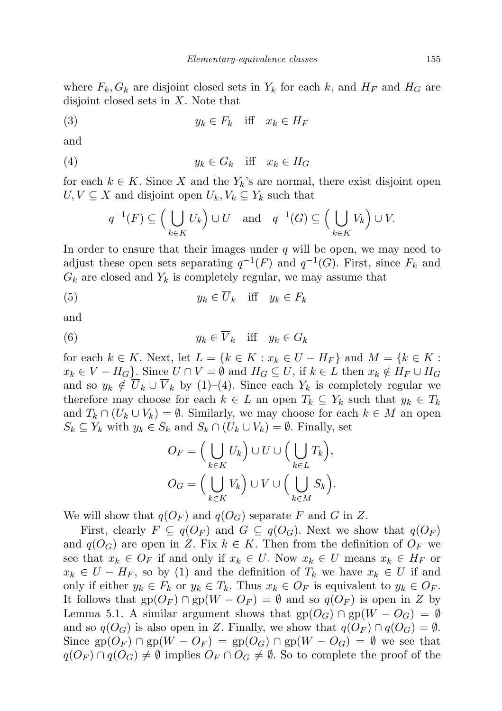where  $F_k, G_k$  are disjoint closed sets in  $Y_k$  for each k, and  $H_F$  and  $H_G$  are disjoint closed sets in  $X$ . Note that

$$
(3) \t\t y_k \in F_k \quad \text{iff} \quad x_k \in H_F
$$

and

$$
(4) \t\t y_k \in G_k \quad \text{iff} \quad x_k \in H_G
$$

for each  $k \in K$ . Since X and the  $Y_k$ 's are normal, there exist disjoint open  $U, V \subseteq X$  and disjoint open  $U_k, V_k \subseteq Y_k$  such that

$$
q^{-1}(F) \subseteq \left(\bigcup_{k \in K} U_k\right) \cup U \quad \text{and} \quad q^{-1}(G) \subseteq \left(\bigcup_{k \in K} V_k\right) \cup V.
$$

In order to ensure that their images under  $q$  will be open, we may need to adjust these open sets separating  $q^{-1}(F)$  and  $q^{-1}(G)$ . First, since  $F_k$  and  $G_k$  are closed and  $Y_k$  is completely regular, we may assume that

$$
(5) \t\t y_k \in \overline{U}_k \quad \text{iff} \quad y_k \in F_k
$$

and

(6) 
$$
y_k \in \overline{V}_k \quad \text{iff} \quad y_k \in G_k
$$

for each  $k \in K$ . Next, let  $L = \{k \in K : x_k \in U - H_F\}$  and  $M = \{k \in K : x_k \in U - H_F\}$  $x_k \in V - H_G$ . Since  $U \cap V = \emptyset$  and  $H_G \subseteq U$ , if  $k \in L$  then  $x_k \notin H_F \cup H_G$ and so  $y_k \notin \overline{U}_k \cup \overline{V}_k$  by (1)–(4). Since each  $Y_k$  is completely regular we therefore may choose for each  $k \in L$  an open  $T_k \subseteq Y_k$  such that  $y_k \in T_k$ and  $T_k \cap (U_k \cup V_k) = \emptyset$ . Similarly, we may choose for each  $k \in M$  an open  $S_k \subseteq Y_k$  with  $y_k \in S_k$  and  $S_k \cap (U_k \cup V_k) = \emptyset$ . Finally, set

$$
O_F = \Big(\bigcup_{k \in K} U_k\Big) \cup U \cup \Big(\bigcup_{k \in L} T_k\Big),
$$
  

$$
O_G = \Big(\bigcup_{k \in K} V_k\Big) \cup V \cup \Big(\bigcup_{k \in M} S_k\Big).
$$

We will show that  $q(O_F)$  and  $q(O_G)$  separate F and G in Z.

First, clearly  $F \subseteq q(O_F)$  and  $G \subseteq q(O_G)$ . Next we show that  $q(O_F)$ and  $q(O_G)$  are open in Z. Fix  $k \in K$ . Then from the definition of  $O_F$  we see that  $x_k \in O_F$  if and only if  $x_k \in U$ . Now  $x_k \in U$  means  $x_k \in H_F$  or  $x_k \in U - H_F$ , so by (1) and the definition of  $T_k$  we have  $x_k \in U$  if and only if either  $y_k \in F_k$  or  $y_k \in T_k$ . Thus  $x_k \in O_F$  is equivalent to  $y_k \in O_F$ . It follows that  $gp(O_F) \cap gp(W - O_F) = \emptyset$  and so  $q(O_F)$  is open in Z by Lemma 5.1. A similar argument shows that  $gp(O_G) \cap gp(W - O_G) = \emptyset$ and so  $q(O_G)$  is also open in Z. Finally, we show that  $q(O_F) \cap q(O_G) = \emptyset$ . Since gp( $O_F$ ) ∩ gp( $W - O_F$ ) = gp( $O_G$ ) ∩ gp( $W - O_G$ ) =  $\emptyset$  we see that  $q(O_F) \cap q(O_G) \neq \emptyset$  implies  $O_F \cap O_G \neq \emptyset$ . So to complete the proof of the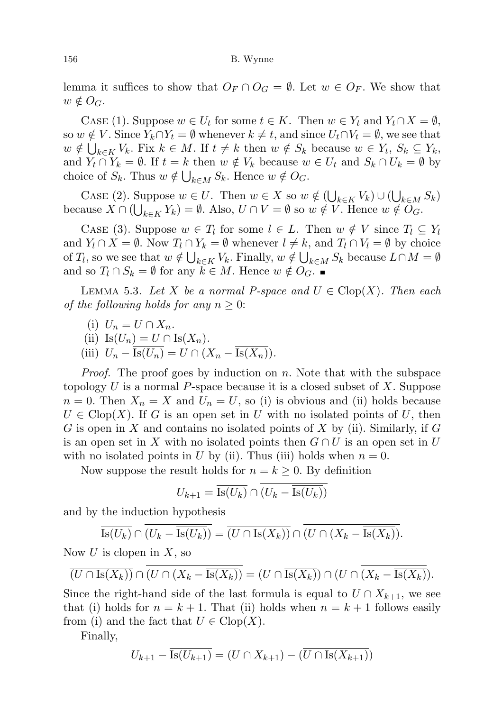lemma it suffices to show that  $O_F \cap O_G = \emptyset$ . Let  $w \in O_F$ . We show that  $w \notin O_G$ .

CASE (1). Suppose  $w \in U_t$  for some  $t \in K$ . Then  $w \in Y_t$  and  $Y_t \cap X = \emptyset$ , so  $w \notin V$ . Since  $Y_k \cap Y_t = \emptyset$  whenever  $k \neq t$ , and since  $U_t \cap V_t = \emptyset$ , we see that  $w \notin \bigcup_{k \in K} V_k$ . Fix  $k \in M$ . If  $t \neq k$  then  $w \notin S_k$  because  $w \in Y_t$ ,  $S_k \subseteq Y_k$ , and  $Y_t \cap Y_k = \emptyset$ . If  $t = k$  then  $w \notin V_k$  because  $w \in U_t$  and  $S_k \cap U_k = \emptyset$  by choice of  $S_k$ . Thus  $w \notin \bigcup_{k \in M} S_k$ . Hence  $w \notin O_G$ .

CASE (2). Suppose  $w \in U$ . Then  $w \in X$  so  $w \notin (\bigcup_{k \in K} V_k) \cup (\bigcup_{k \in M} S_k)$ because  $X \cap (\bigcup_{k \in K} Y_k) = \emptyset$ . Also,  $U \cap V = \emptyset$  so  $w \notin V$ . Hence  $w \notin O_G$ .

CASE (3). Suppose  $w \in T_l$  for some  $l \in L$ . Then  $w \notin V$  since  $T_l \subseteq Y_l$ and  $Y_l \cap X = \emptyset$ . Now  $T_l \cap Y_k = \emptyset$  whenever  $l \neq k$ , and  $T_l \cap V_l = \emptyset$  by choice of  $T_l$ , so we see that  $w \notin \bigcup_{k \in K} V_k$ . Finally,  $w \notin \bigcup_{k \in M} S_k$  because  $L \cap M = \emptyset$ and so  $T_l \cap S_k = \emptyset$  for any  $k \in M$ . Hence  $w \notin O_G$ .

LEMMA 5.3. Let X be a normal P-space and  $U \in \text{Clop}(X)$ . Then each of the following holds for any  $n \geq 0$ :

- (i)  $U_n = U \cap X_n$ .
- (ii) Is $(U_n) = U \cap \text{Is}(X_n)$ .
- (iii)  $U_n Is(U_n) = U \cap (X_n Is(X_n)).$

*Proof.* The proof goes by induction on  $n$ . Note that with the subspace topology  $U$  is a normal P-space because it is a closed subset of  $X$ . Suppose  $n = 0$ . Then  $X_n = X$  and  $U_n = U$ , so (i) is obvious and (ii) holds because  $U \in \text{Clop}(X)$ . If G is an open set in U with no isolated points of U, then G is open in X and contains no isolated points of X by (ii). Similarly, if G is an open set in X with no isolated points then  $G \cap U$  is an open set in U with no isolated points in U by (ii). Thus (iii) holds when  $n = 0$ .

Now suppose the result holds for  $n = k \geq 0$ . By definition

$$
U_{k+1} = \overline{\mathrm{Is}(U_k)} \cap \overline{(U_k - \overline{\mathrm{Is}(U_k)})}
$$

and by the induction hypothesis

$$
\overline{\text{Is}(U_k)} \cap \overline{(U_k - \overline{\text{Is}(U_k)})} = \overline{(U \cap \text{Is}(X_k))} \cap \overline{(U \cap (X_k - \overline{\text{Is}(X_k)})}.
$$

Now  $U$  is clopen in  $X$ , so

$$
\overline{(U \cap \text{Is}(X_k))} \cap \overline{(U \cap (X_k - \overline{\text{Is}(X_k)})} = (U \cap \overline{\text{Is}(X_k)}) \cap (U \cap \overline{(X_k - \overline{\text{Is}(X_k)})}).
$$

Since the right-hand side of the last formula is equal to  $U \cap X_{k+1}$ , we see that (i) holds for  $n = k + 1$ . That (ii) holds when  $n = k + 1$  follows easily from (i) and the fact that  $U \in \text{Clop}(X)$ .

Finally,

$$
U_{k+1} - \overline{\text{Is}(U_{k+1})} = (U \cap X_{k+1}) - (\overline{U \cap \text{Is}(X_{k+1})})
$$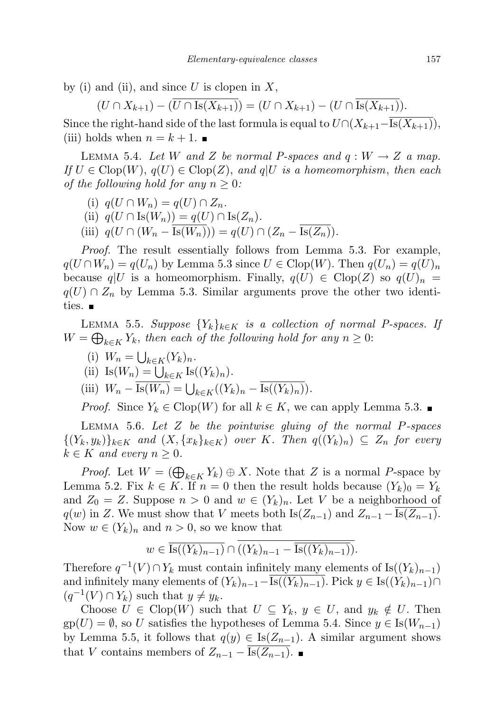by (i) and (ii), and since U is clopen in X,

$$
(U \cap X_{k+1}) - (\overline{U} \cap \overline{Is(X_{k+1})}) = (U \cap X_{k+1}) - (U \cap \overline{Is(X_{k+1})}).
$$

Since the right-hand side of the last formula is equal to  $U\cap (X_{k+1}-\overline{Is(X_{k+1})}),$ (iii) holds when  $n = k + 1$ .

LEMMA 5.4. Let W and Z be normal P-spaces and  $q: W \to Z$  a map. If  $U \in \text{Clop}(W)$ ,  $q(U) \in \text{Clop}(Z)$ , and  $q(U)$  is a homeomorphism, then each of the following hold for any  $n \geq 0$ :

- (i)  $q(U \cap W_n) = q(U) \cap Z_n$ .
- (ii)  $q(U \cap \text{Is}(W_n)) = q(U) \cap \text{Is}(Z_n)$ .
- (iii)  $q(U \cap (W_n \overline{\text{Is}(W_n)})) = q(U) \cap (Z_n \overline{\text{Is}(Z_n)}).$

Proof. The result essentially follows from Lemma 5.3. For example,  $q(U \cap W_n) = q(U_n)$  by Lemma 5.3 since  $U \in \text{Clop}(W)$ . Then  $q(U_n) = q(U)_n$ because  $q|U$  is a homeomorphism. Finally,  $q(U) \in \text{Clop}(Z)$  so  $q(U)_n =$  $q(U) \cap Z_n$  by Lemma 5.3. Similar arguments prove the other two identities.  $\blacksquare$ 

LEMMA 5.5. Suppose  ${Y_k}_{k \in K}$  is a collection of normal P-spaces. If  $W = \bigoplus_{k \in K} Y_k$ , then each of the following hold for any  $n \geq 0$ :

- (i)  $W_n = \bigcup_{k \in K} (Y_k)_n$ .
- (ii) Is $(W_n) = \bigcup_{k \in K} \text{Is}((Y_k)_n).$

(iii)  $W_n - \text{Is}(W_n) = \bigcup_{k \in K} ((Y_k)_n - \text{Is}((Y_k)_n)).$ 

*Proof.* Since  $Y_k \in \text{Clop}(W)$  for all  $k \in K$ , we can apply Lemma 5.3.

LEMMA 5.6. Let  $Z$  be the pointwise gluing of the normal  $P$ -spaces  $\{(Y_k, y_k)\}_{k \in K}$  and  $(X, \{x_k\}_{k \in K})$  over K. Then  $q((Y_k)_n) \subseteq Z_n$  for every  $k \in K$  and every  $n \geq 0$ .

*Proof.* Let  $W = (\bigoplus_{k \in K} Y_k) \oplus X$ . Note that Z is a normal P-space by Lemma 5.2. Fix  $k \in K$ . If  $n = 0$  then the result holds because  $(Y_k)_0 = Y_k$ and  $Z_0 = Z$ . Suppose  $n > 0$  and  $w \in (Y_k)_n$ . Let V be a neighborhood of  $q(w)$  in Z. We must show that V meets both Is( $Z_{n-1}$ ) and  $Z_{n-1} - \text{Is}(Z_{n-1})$ . Now  $w \in (Y_k)_n$  and  $n > 0$ , so we know that

$$
w \in \overline{\text{Is}((Y_k)_{n-1})} \cap ((Y_k)_{n-1} - \overline{\text{Is}((Y_k)_{n-1})}).
$$

Therefore  $q^{-1}(V) \cap Y_k$  must contain infinitely many elements of Is( $(Y_k)_{n-1}$ ) and infinitely many elements of  $(Y_k)_{n-1}-\overline{\text{Is}((Y_k)_{n-1})}$ . Pick  $y \in \text{Is}((Y_k)_{n-1}) \cap$  $(q^{-1}(V) \cap Y_k)$  such that  $y \neq y_k$ .

Choose  $U \in \text{Clop}(W)$  such that  $U \subseteq Y_k$ ,  $y \in U$ , and  $y_k \notin U$ . Then  $gp(U) = \emptyset$ , so U satisfies the hypotheses of Lemma 5.4. Since  $y \in Is(W_{n-1})$ by Lemma 5.5, it follows that  $q(y) \in Is(Z_{n-1})$ . A similar argument shows that V contains members of  $Z_{n-1} - \overline{\text{Is}(Z_{n-1})}$ .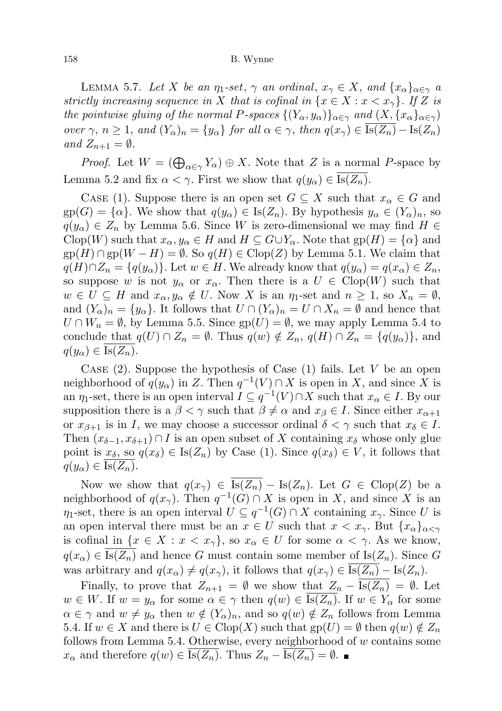## 158 B. Wynne

LEMMA 5.7. Let X be an  $\eta_1\text{-set}$ ,  $\gamma$  an ordinal,  $x_\gamma \in X$ , and  $\{x_\alpha\}_{\alpha \in \gamma}$  a strictly increasing sequence in X that is cofinal in  $\{x \in X : x < x_{\gamma}\}\$ . If Z is the pointwise gluing of the normal P-spaces  $\{(Y_\alpha, y_\alpha)\}_{\alpha \in \gamma}$  and  $(X, \{x_\alpha\}_{\alpha \in \gamma})$ over  $\gamma$ ,  $n \geq 1$ , and  $(Y_\alpha)_n = \{y_\alpha\}$  for all  $\alpha \in \gamma$ , then  $q(x_\gamma) \in \overline{\text{Is}(Z_n)} - \text{Is}(Z_n)$ and  $Z_{n+1} = \emptyset$ .

*Proof.* Let  $W = (\bigoplus_{\alpha \in \gamma} Y_{\alpha}) \oplus X$ . Note that Z is a normal P-space by Lemma 5.2 and fix  $\alpha < \gamma$ . First we show that  $q(y_{\alpha}) \in \text{Is}(Z_n)$ .

CASE (1). Suppose there is an open set  $G \subseteq X$  such that  $x_{\alpha} \in G$  and  $gp(G) = \{\alpha\}.$  We show that  $q(y_\alpha) \in Is(Z_n)$ . By hypothesis  $y_\alpha \in (Y_\alpha)_n$ , so  $q(y_\alpha) \in Z_n$  by Lemma 5.6. Since W is zero-dimensional we may find  $H \in$  $C\text{lop}(W)$  such that  $x_\alpha, y_\alpha \in H$  and  $H \subseteq G \cup Y_\alpha$ . Note that  $gp(H) = {\alpha}$  and  $gp(H) \cap gp(W - H) = \emptyset$ . So  $q(H) \in Clop(Z)$  by Lemma 5.1. We claim that  $q(H) \cap Z_n = \{q(y_\alpha)\}\.$  Let  $w \in H$ . We already know that  $q(y_\alpha) = q(x_\alpha) \in Z_n$ , so suppose w is not  $y_\alpha$  or  $x_\alpha$ . Then there is a  $U \in \text{Clop}(W)$  such that  $w \in U \subseteq H$  and  $x_{\alpha}, y_{\alpha} \notin U$ . Now X is an  $\eta_1$ -set and  $n \geq 1$ , so  $X_n = \emptyset$ , and  $(Y_\alpha)_n = \{y_\alpha\}$ . It follows that  $U \cap (Y_\alpha)_n = U \cap X_n = \emptyset$  and hence that  $U \cap W_n = \emptyset$ , by Lemma 5.5. Since  $gp(U) = \emptyset$ , we may apply Lemma 5.4 to conclude that  $q(U) \cap Z_n = \emptyset$ . Thus  $q(w) \notin Z_n$ ,  $q(H) \cap Z_n = \{q(y_\alpha)\}\$ , and  $q(y_\alpha) \in \text{Is}(Z_n).$ 

CASE  $(2)$ . Suppose the hypothesis of Case  $(1)$  fails. Let V be an open neighborhood of  $q(y_\alpha)$  in Z. Then  $q^{-1}(V) \cap X$  is open in X, and since X is an  $\eta_1$ -set, there is an open interval  $I \subseteq q^{-1}(V) \cap X$  such that  $x_\alpha \in I$ . By our supposition there is a  $\beta < \gamma$  such that  $\beta \neq \alpha$  and  $x_{\beta} \in I$ . Since either  $x_{\alpha+1}$ or  $x_{\beta+1}$  is in I, we may choose a successor ordinal  $\delta < \gamma$  such that  $x_{\delta} \in I$ . Then  $(x_{\delta-1}, x_{\delta+1}) \cap I$  is an open subset of X containing  $x_{\delta}$  whose only glue point is  $x_{\delta}$ , so  $q(x_{\delta}) \in Is(Z_n)$  by Case (1). Since  $q(x_{\delta}) \in V$ , it follows that  $q(y_\alpha) \in \text{Is}(Z_n).$ 

Now we show that  $q(x_\gamma) \in \overline{\text{Is}(Z_n)} - \text{Is}(Z_n)$ . Let  $G \in \text{Clop}(Z)$  be a neighborhood of  $q(x_\gamma)$ . Then  $q^{-1}(G) \cap X$  is open in X, and since X is an  $\eta_1$ -set, there is an open interval  $U \subseteq q^{-1}(G) \cap X$  containing  $x_\gamma$ . Since U is an open interval there must be an  $x \in U$  such that  $x < x_{\gamma}$ . But  $\{x_{\alpha}\}_{{\alpha<\gamma}}$ is cofinal in  $\{x \in X : x < x_\gamma\}$ , so  $x_\alpha \in U$  for some  $\alpha < \gamma$ . As we know,  $q(x_{\alpha}) \in \text{Is}(Z_n)$  and hence G must contain some member of  $\text{Is}(Z_n)$ . Since G was arbitrary and  $q(x_{\alpha}) \neq q(x_{\gamma})$ , it follows that  $q(x_{\gamma}) \in \overline{\text{Is}(Z_n)} - \text{Is}(Z_n)$ .

Finally, to prove that  $Z_{n+1} = \emptyset$  we show that  $Z_n - \overline{Is(Z_n)} = \emptyset$ . Let  $w \in W$ . If  $w = y_\alpha$  for some  $\alpha \in \gamma$  then  $q(w) \in Is(Z_n)$ . If  $w \in Y_\alpha$  for some  $\alpha \in \gamma$  and  $w \neq y_\alpha$  then  $w \notin (Y_\alpha)_n$ , and so  $q(w) \notin Z_n$  follows from Lemma 5.4. If  $w \in X$  and there is  $U \in \text{Clop}(X)$  such that  $gp(U) = \emptyset$  then  $q(w) \notin Z_n$ follows from Lemma 5.4. Otherwise, every neighborhood of w contains some  $x_{\alpha}$  and therefore  $q(w) \in \overline{\text{Is}(Z_n)}$ . Thus  $Z_n - \overline{\text{Is}(Z_n)} = \emptyset$ .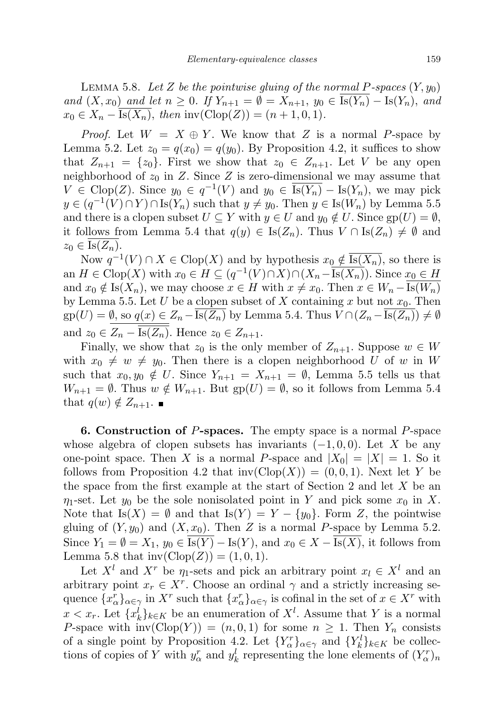LEMMA 5.8. Let Z be the pointwise gluing of the normal P-spaces  $(Y, y_0)$ and  $(X, x_0)$  and let  $n \geq 0$ . If  $Y_{n+1} = \emptyset = X_{n+1}$ ,  $y_0 \in \overline{Is(Y_n)} - Is(Y_n)$ , and  $x_0 \in X_n - Is(X_n)$ , then  $inv(Clop(Z)) = (n + 1, 0, 1)$ .

*Proof.* Let  $W = X \oplus Y$ . We know that Z is a normal P-space by Lemma 5.2. Let  $z_0 = q(x_0) = q(y_0)$ . By Proposition 4.2, it suffices to show that  $Z_{n+1} = \{z_0\}$ . First we show that  $z_0 \in Z_{n+1}$ . Let V be any open neighborhood of  $z_0$  in Z. Since Z is zero-dimensional we may assume that  $V \in \text{Clop}(Z)$ . Since  $y_0 \in q^{-1}(V)$  and  $y_0 \in \overline{\text{Is}(Y_n)} - \text{Is}(Y_n)$ , we may pick  $y \in (q^{-1}(V) \cap Y) \cap \text{Is}(Y_n)$  such that  $y \neq y_0$ . Then  $y \in \text{Is}(W_n)$  by Lemma 5.5 and there is a clopen subset  $U \subseteq Y$  with  $y \in U$  and  $y_0 \notin U$ . Since  $gp(U) = \emptyset$ , it follows from Lemma 5.4 that  $q(y) \in Is(Z_n)$ . Thus  $V \cap Is(Z_n) \neq \emptyset$  and  $z_0 \in \text{Is}(Z_n).$ 

Now  $q^{-1}(V) \cap X \in \text{Clop}(X)$  and by hypothesis  $x_0 \notin \overline{\text{Is}(X_n)}$ , so there is an  $H \in \text{Clop}(X)$  with  $x_0 \in H \subseteq (q^{-1}(V) \cap X) \cap (X_n - \overline{\text{Is}(X_n)})$ . Since  $x_0 \in H$ and  $x_0 \notin \text{Is}(X_n)$ , we may choose  $x \in H$  with  $x \neq x_0$ . Then  $x \in W_n - \text{Is}(W_n)$ by Lemma 5.5. Let U be a clopen subset of X containing x but not  $x_0$ . Then  $gp(U) = \emptyset$ , so  $q(x) \in Z_n - Is(Z_n)$  by Lemma 5.4. Thus  $V \cap (Z_n - Is(Z_n)) \neq \emptyset$ and  $z_0 \in Z_n - \overline{\text{Is}(Z_n)}$ . Hence  $z_0 \in Z_{n+1}$ .

Finally, we show that  $z_0$  is the only member of  $Z_{n+1}$ . Suppose  $w \in W$ with  $x_0 \neq w \neq y_0$ . Then there is a clopen neighborhood U of w in W such that  $x_0, y_0 \notin U$ . Since  $Y_{n+1} = X_{n+1} = \emptyset$ , Lemma 5.5 tells us that  $W_{n+1} = \emptyset$ . Thus  $w \notin W_{n+1}$ . But  $gp(U) = \emptyset$ , so it follows from Lemma 5.4 that  $q(w) \notin Z_{n+1}$ .

6. Construction of P-spaces. The empty space is a normal P-space whose algebra of clopen subsets has invariants  $(-1, 0, 0)$ . Let X be any one-point space. Then X is a normal P-space and  $|X_0| = |X| = 1$ . So it follows from Proposition 4.2 that  $inv(\text{Clop}(X)) = (0, 0, 1)$ . Next let Y be the space from the first example at the start of Section 2 and let  $X$  be an  $\eta_1$ -set. Let  $y_0$  be the sole nonisolated point in Y and pick some  $x_0$  in X. Note that  $Is(X) = \emptyset$  and that  $Is(Y) = Y - \{y_0\}$ . Form Z, the pointwise gluing of  $(Y, y_0)$  and  $(X, x_0)$ . Then Z is a normal P-space by Lemma 5.2. Since  $Y_1 = \emptyset = X_1, y_0 \in \overline{Is(Y)} - Is(Y)$ , and  $x_0 \in X - \overline{Is(X)}$ , it follows from Lemma 5.8 that  $inv(Clop(Z)) = (1, 0, 1)$ .

Let  $X^l$  and  $X^r$  be  $\eta_1$ -sets and pick an arbitrary point  $x_l \in X^l$  and an arbitrary point  $x_r \in X^r$ . Choose an ordinal  $\gamma$  and a strictly increasing sequence  $\{x_{\alpha}^r\}_{\alpha \in \gamma}$  in  $X^r$  such that  $\{x_{\alpha}^r\}_{\alpha \in \gamma}$  is cofinal in the set of  $x \in X^r$  with  $x < x_r$ . Let  $\{x_k^l\}_{k \in K}$  be an enumeration of  $X^l$ . Assume that Y is a normal P-space with  $inv(\text{Clop}(Y)) = (n, 0, 1)$  for some  $n \geq 1$ . Then  $Y_n$  consists of a single point by Proposition 4.2. Let  $\{Y_{\alpha}^r\}_{\alpha \in \gamma}$  and  $\{Y_k^l\}_{k \in K}$  be collections of copies of Y with  $y_{\alpha}^r$  and  $y_k^l$  representing the lone elements of  $(Y_{\alpha}^r)_n$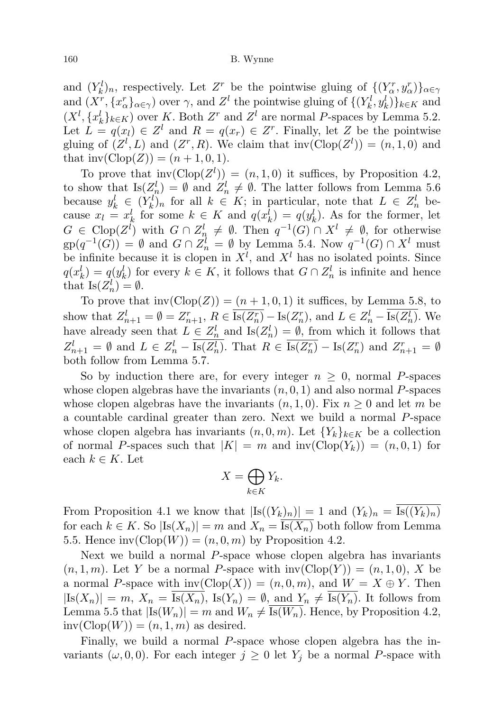and  $(Y_k^l)_n$ , respectively. Let  $Z^r$  be the pointwise gluing of  $\{(Y_\alpha^r, y_\alpha^r)\}_{\alpha \in \gamma}$ and  $(X^r, \{x^r_\alpha\}_{\alpha \in \gamma})$  over  $\gamma$ , and  $Z^l$  the pointwise gluing of  $\{(Y^l_k, y^l_k)\}_{k \in K}$  and  $(X^l, \{x_k^l\}_{k\in K})$  over K. Both  $Z^r$  and  $Z^l$  are normal P-spaces by Lemma 5.2. Let  $L = q(x_l) \in Z^l$  and  $R = q(x_r) \in Z^r$ . Finally, let Z be the pointwise gluing of  $(Z^l, L)$  and  $(Z^r, R)$ . We claim that  $inv(\text{Clop}(Z^l)) = (n, 1, 0)$  and that  $inv(Clop(Z)) = (n + 1, 0, 1).$ 

To prove that  $inv(\text{Clop}(Z^l)) = (n, 1, 0)$  it suffices, by Proposition 4.2, to show that  $\text{Is}(Z_n^l) = \emptyset$  and  $Z_n^l \neq \emptyset$ . The latter follows from Lemma 5.6 because  $y_k^l \in (Y_k^l)_n$  for all  $k \in K$ ; in particular, note that  $L \in Z_n^l$  because  $x_l = x_k^l$  for some  $k \in K$  and  $q(x_k^l) = q(y_k^l)$ . As for the former, let  $G \in \text{Clop}(Z^l)$  with  $G \cap Z^l_{n} \neq \emptyset$ . Then  $q^{-1}(G) \cap X^l \neq \emptyset$ , for otherwise  $gp(q^{-1}(G)) = \emptyset$  and  $G \cap Z_n^l = \emptyset$  by Lemma 5.4. Now  $q^{-1}(G) \cap X^l$  must be infinite because it is clopen in  $X^l$ , and  $X^l$  has no isolated points. Since  $q(x_k^l) = q(y_k^l)$  for every  $k \in K$ , it follows that  $G \cap Z_n^l$  is infinite and hence that  $\text{Is}(Z_n^l) = \emptyset$ .

To prove that  $inv(Clop(Z)) = (n + 1, 0, 1)$  it suffices, by Lemma 5.8, to show that  $Z_{n+1}^l = \emptyset = Z_{n+1}^r$ ,  $R \in \overline{\text{Is}(Z_n^r)} - \text{Is}(Z_n^r)$ , and  $L \in Z_n^l - \overline{\text{Is}(Z_n^l)}$ . We have already seen that  $L \in \mathbb{Z}_n^l$  and  $\text{Is}(\mathbb{Z}_n^l) = \emptyset$ , from which it follows that  $Z_{n+1}^l = \emptyset$  and  $L \in Z_n^l - \overline{\text{Is}(Z_n^l)}$ . That  $R \in \overline{\text{Is}(Z_n^r)} - \text{Is}(Z_n^r)$  and  $Z_{n+1}^r = \emptyset$ both follow from Lemma 5.7.

So by induction there are, for every integer  $n \geq 0$ , normal P-spaces whose clopen algebras have the invariants  $(n, 0, 1)$  and also normal P-spaces whose clopen algebras have the invariants  $(n, 1, 0)$ . Fix  $n \geq 0$  and let m be a countable cardinal greater than zero. Next we build a normal P-space whose clopen algebra has invariants  $(n, 0, m)$ . Let  ${Y_k}_{k \in K}$  be a collection of normal P-spaces such that  $|K| = m$  and  $inv(\text{Clop}(Y_k)) = (n, 0, 1)$  for each  $k \in K$ . Let

$$
X = \bigoplus_{k \in K} Y_k.
$$

From Proposition 4.1 we know that  $|Is((Y_k)_n)| = 1$  and  $(Y_k)_n = Is((Y_k)_n)$ for each  $k \in K$ . So  $|\text{Is}(X_n)| = m$  and  $X_n = \text{Is}(X_n)$  both follow from Lemma 5.5. Hence  $inv(\text{Clop}(W)) = (n, 0, m)$  by Proposition 4.2.

Next we build a normal P-space whose clopen algebra has invariants  $(n, 1, m)$ . Let Y be a normal P-space with  $inv(Clop(Y)) = (n, 1, 0)$ , X be a normal P-space with  $inv(\text{Clop}(X)) = (n, 0, m)$ , and  $W = X \oplus Y$ . Then  $|Is(X_n)| = m$ ,  $X_n = \overline{Is(X_n)}$ ,  $Is(Y_n) = \emptyset$ , and  $Y_n \neq \overline{Is(Y_n)}$ . It follows from Lemma 5.5 that  $|I_s(W_n)| = m$  and  $W_n \neq \overline{I_s(W_n)}$ . Hence, by Proposition 4.2,  $inv(\text{Clop}(W)) = (n, 1, m)$  as desired.

Finally, we build a normal P-space whose clopen algebra has the invariants  $(\omega, 0, 0)$ . For each integer  $j \geq 0$  let  $Y_j$  be a normal P-space with